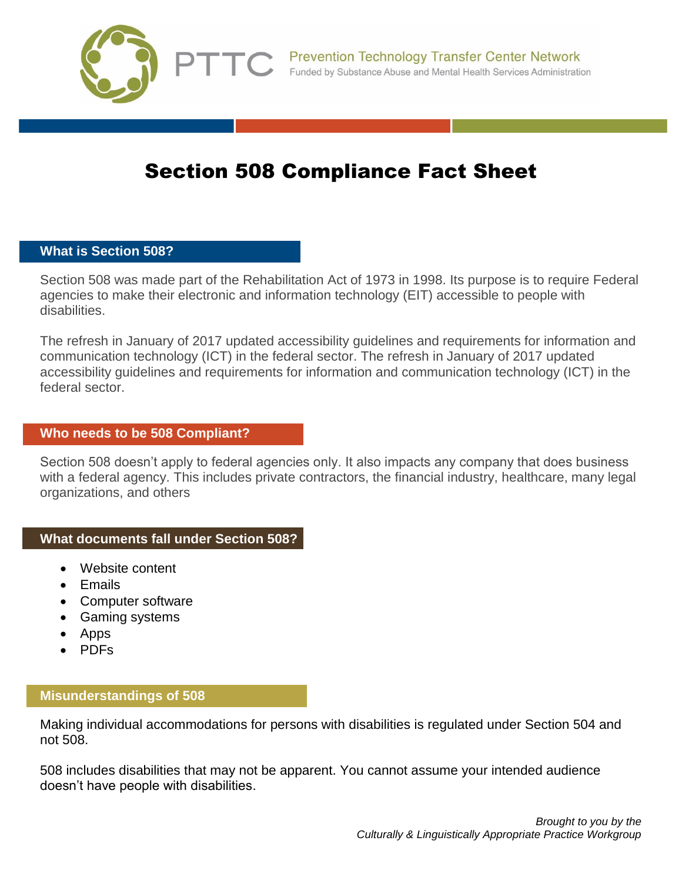

# Section 508 Compliance Fact Sheet

## **What is Section 508?**

Section 508 was made part of the Rehabilitation Act of 1973 in 1998. Its purpose is to require Federal agencies to make their electronic and information technology (EIT) accessible to people with disabilities.

The refresh in January of 2017 updated accessibility guidelines and requirements for information and communication technology (ICT) in the federal sector. The refresh in January of 2017 updated accessibility guidelines and requirements for information and communication technology (ICT) in the federal sector.

#### **Who needs to be 508 Compliant?**

Section 508 doesn't apply to federal agencies only. It also impacts any company that does business with a federal agency. This includes private contractors, the financial industry, healthcare, many legal organizations, and others

#### **What documents fall under Section 508?**

- Website content
- Fmails
- Computer software
- Gaming systems
- Apps
- PDFs

#### **Misunderstandings of 508**

Making individual accommodations for persons with disabilities is regulated under Section 504 and not 508.

508 includes disabilities that may not be apparent. You cannot assume your intended audience doesn't have people with disabilities.